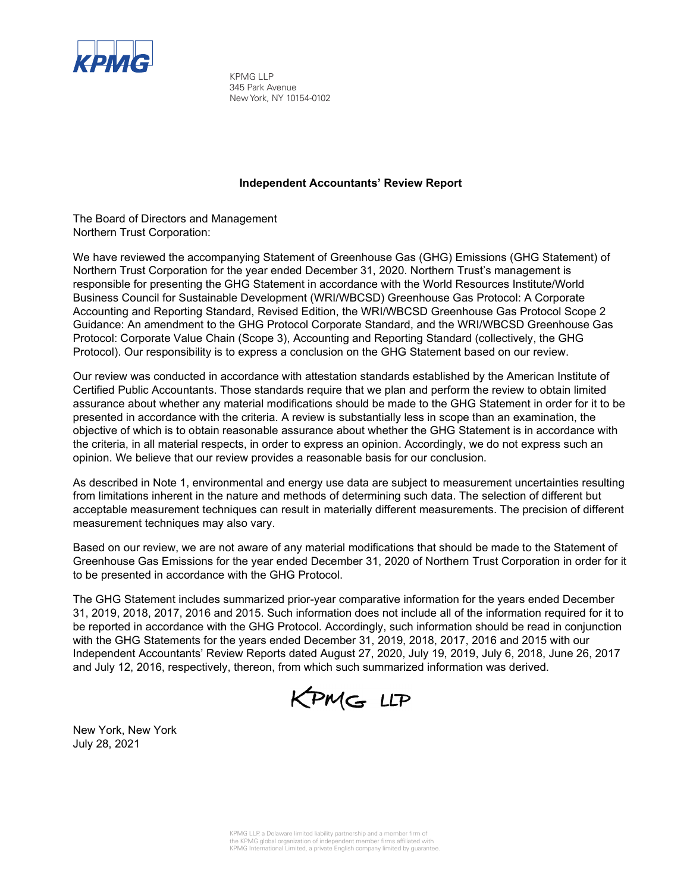

KPMG LLP 345 Park Avenue New York, NY 10154-0102

### **Independent Accountants' Review Report**

The Board of Directors and Management Northern Trust Corporation:

We have reviewed the accompanying Statement of Greenhouse Gas (GHG) Emissions (GHG Statement) of Northern Trust Corporation for the year ended December 31, 2020. Northern Trust's management is responsible for presenting the GHG Statement in accordance with the World Resources Institute/World Business Council for Sustainable Development (WRI/WBCSD) Greenhouse Gas Protocol: A Corporate Accounting and Reporting Standard, Revised Edition, the WRI/WBCSD Greenhouse Gas Protocol Scope 2 Guidance: An amendment to the GHG Protocol Corporate Standard, and the WRI/WBCSD Greenhouse Gas Protocol: Corporate Value Chain (Scope 3), Accounting and Reporting Standard (collectively, the GHG Protocol). Our responsibility is to express a conclusion on the GHG Statement based on our review.

Our review was conducted in accordance with attestation standards established by the American Institute of Certified Public Accountants. Those standards require that we plan and perform the review to obtain limited assurance about whether any material modifications should be made to the GHG Statement in order for it to be presented in accordance with the criteria. A review is substantially less in scope than an examination, the objective of which is to obtain reasonable assurance about whether the GHG Statement is in accordance with the criteria, in all material respects, in order to express an opinion. Accordingly, we do not express such an opinion. We believe that our review provides a reasonable basis for our conclusion.

As described in Note 1, environmental and energy use data are subject to measurement uncertainties resulting from limitations inherent in the nature and methods of determining such data. The selection of different but acceptable measurement techniques can result in materially different measurements. The precision of different measurement techniques may also vary.

Based on our review, we are not aware of any material modifications that should be made to the Statement of Greenhouse Gas Emissions for the year ended December 31, 2020 of Northern Trust Corporation in order for it to be presented in accordance with the GHG Protocol.

The GHG Statement includes summarized prior-year comparative information for the years ended December 31, 2019, 2018, 2017, 2016 and 2015. Such information does not include all of the information required for it to be reported in accordance with the GHG Protocol. Accordingly, such information should be read in conjunction with the GHG Statements for the years ended December 31, 2019, 2018, 2017, 2016 and 2015 with our Independent Accountants' Review Reports dated August 27, 2020, July 19, 2019, July 6, 2018, June 26, 2017 and July 12, 2016, respectively, thereon, from which such summarized information was derived.



New York, New York July 28, 2021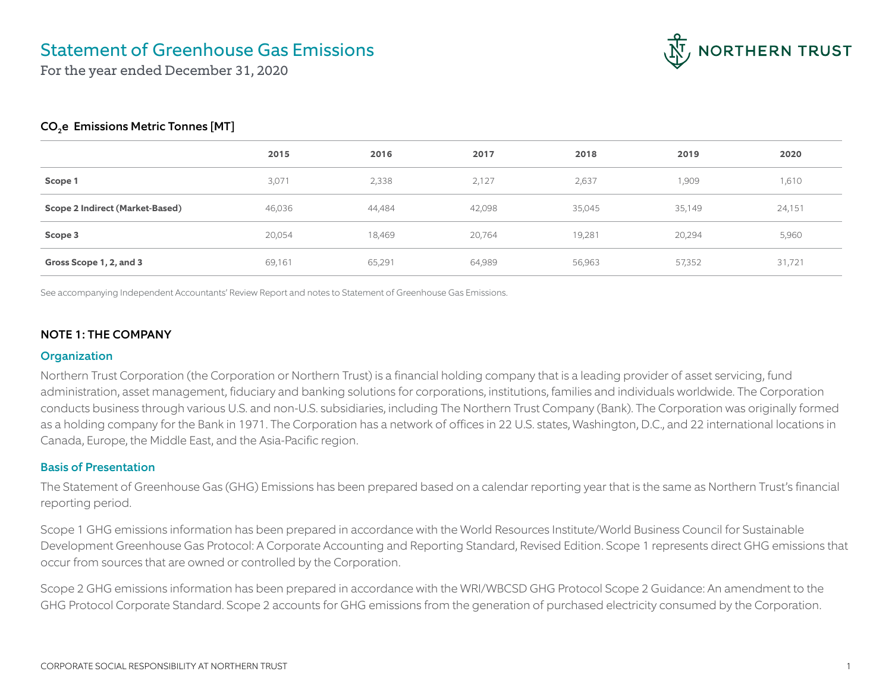

For the year ended December 31, 2020

### CO<sub>2</sub>e Emissions Metric Tonnes [MT]

|                                 | 2015   | 2016   | 2017   | 2018   | 2019   | 2020   |
|---------------------------------|--------|--------|--------|--------|--------|--------|
| Scope 1                         | 3,071  | 2,338  | 2,127  | 2,637  | 1,909  | 1,610  |
| Scope 2 Indirect (Market-Based) | 46,036 | 44,484 | 42,098 | 35,045 | 35,149 | 24,151 |
| Scope 3                         | 20,054 | 18,469 | 20,764 | 19,281 | 20,294 | 5,960  |
| Gross Scope 1, 2, and 3         | 69,161 | 65,291 | 64,989 | 56,963 | 57,352 | 31,721 |

See accompanying Independent Accountants' Review Report and notes to Statement of Greenhouse Gas Emissions.

#### NOTE 1: THE COMPANY

### **Organization**

Northern Trust Corporation (the Corporation or Northern Trust) is a financial holding company that is a leading provider of asset servicing, fund administration, asset management, fiduciary and banking solutions for corporations, institutions, families and individuals worldwide. The Corporation conducts business through various U.S. and non-U.S. subsidiaries, including The Northern Trust Company (Bank). The Corporation was originally formed as a holding company for the Bank in 1971. The Corporation has a network of offices in 22 U.S. states, Washington, D.C., and 22 international locations in Canada, Europe, the Middle East, and the Asia-Pacific region.

#### Basis of Presentation

The Statement of Greenhouse Gas (GHG) Emissions has been prepared based on a calendar reporting year that is the same as Northern Trust's financial reporting period.

Scope 1 GHG emissions information has been prepared in accordance with the World Resources Institute/World Business Council for Sustainable Development Greenhouse Gas Protocol: A Corporate Accounting and Reporting Standard, Revised Edition. Scope 1 represents direct GHG emissions that occur from sources that are owned or controlled by the Corporation.

Scope 2 GHG emissions information has been prepared in accordance with the WRI/WBCSD GHG Protocol Scope 2 Guidance: An amendment to the GHG Protocol Corporate Standard. Scope 2 accounts for GHG emissions from the generation of purchased electricity consumed by the Corporation.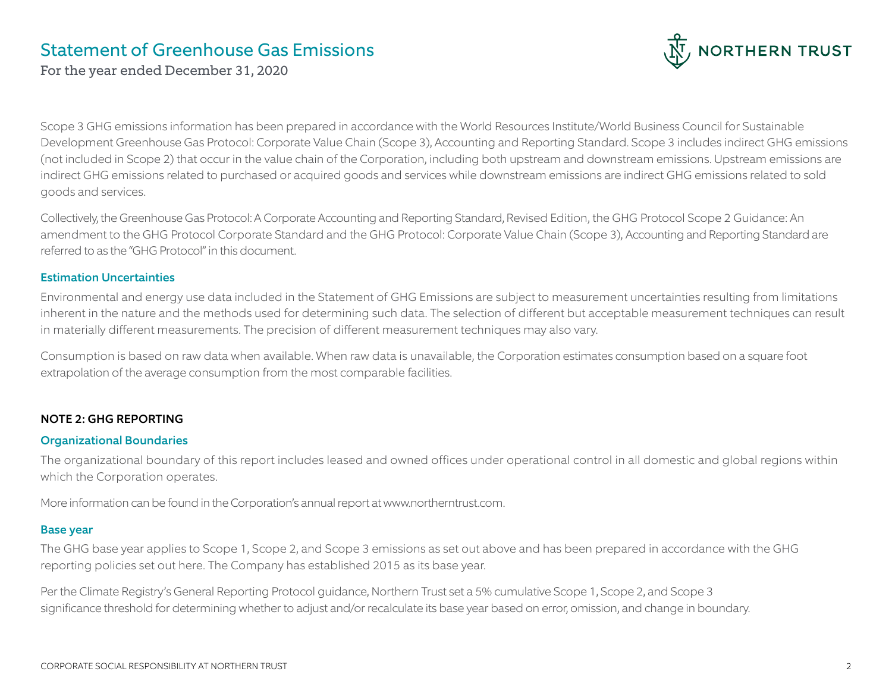

For the year ended December 31, 2020

Scope 3 GHG emissions information has been prepared in accordance with the World Resources Institute/World Business Council for Sustainable Development Greenhouse Gas Protocol: Corporate Value Chain (Scope 3), Accounting and Reporting Standard. Scope 3 includes indirect GHG emissions (not included in Scope 2) that occur in the value chain of the Corporation, including both upstream and downstream emissions. Upstream emissions are indirect GHG emissions related to purchased or acquired goods and services while downstream emissions are indirect GHG emissions related to sold goods and services.

Collectively, the Greenhouse Gas Protocol: A Corporate Accounting and Reporting Standard, Revised Edition, the GHG Protocol Scope 2 Guidance: An amendment to the GHG Protocol Corporate Standard and the GHG Protocol: Corporate Value Chain (Scope 3), Accounting and Reporting Standard are referred to as the "GHG Protocol" in this document.

#### Estimation Uncertainties

Environmental and energy use data included in the Statement of GHG Emissions are subject to measurement uncertainties resulting from limitations inherent in the nature and the methods used for determining such data. The selection of different but acceptable measurement techniques can result in materially different measurements. The precision of different measurement techniques may also vary.

Consumption is based on raw data when available. When raw data is unavailable, the Corporation estimates consumption based on a square foot extrapolation of the average consumption from the most comparable facilities.

### NOTE 2: GHG REPORTING

#### Organizational Boundaries

The organizational boundary of this report includes leased and owned offices under operational control in all domestic and global regions within which the Corporation operates.

More information can be found in the Corporation's annual report at www.northerntrust.com.

### Base year

The GHG base year applies to Scope 1, Scope 2, and Scope 3 emissions as set out above and has been prepared in accordance with the GHG reporting policies set out here. The Company has established 2015 as its base year.

Per the Climate Registry's General Reporting Protocol guidance, Northern Trust set a 5% cumulative Scope 1, Scope 2, and Scope 3 significance threshold for determining whether to adjust and/or recalculate its base year based on error, omission, and change in boundary.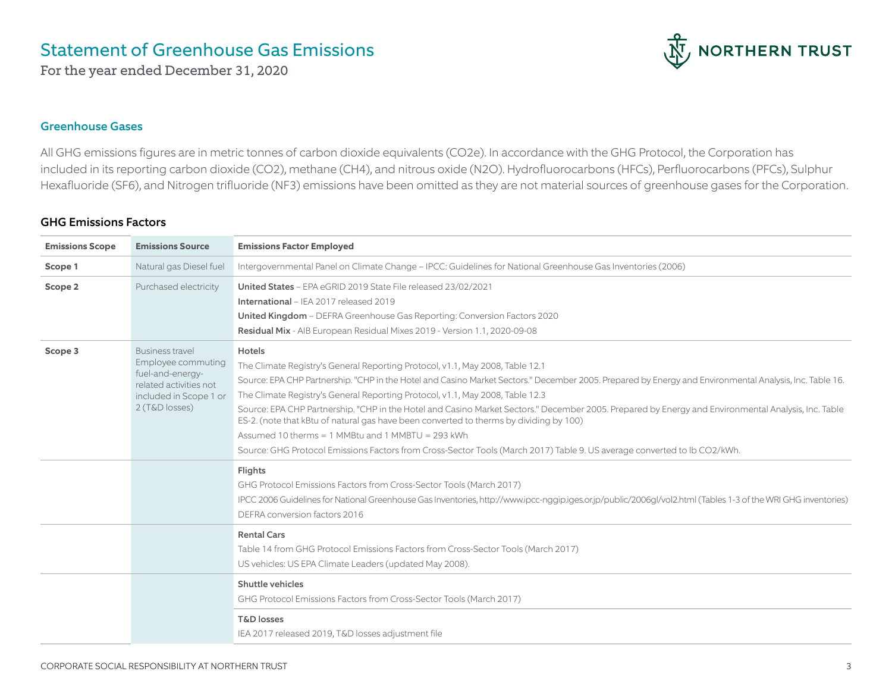For the year ended December 31, 2020



### Greenhouse Gases

All GHG emissions figures are in metric tonnes of carbon dioxide equivalents (CO2e). In accordance with the GHG Protocol, the Corporation has included in its reporting carbon dioxide (CO2), methane (CH4), and nitrous oxide (N2O). Hydrofluorocarbons (HFCs), Perfluorocarbons (PFCs), Sulphur Hexafluoride (SF6), and Nitrogen trifluoride (NF3) emissions have been omitted as they are not material sources of greenhouse gases for the Corporation.

### GHG Emissions Factors

| <b>Emissions Scope</b> | <b>Emissions Source</b>                                                                                                                | <b>Emissions Factor Employed</b>                                                                                                                                                                                                                                                                                                                                                                                                                                                                                                                                                                                                                                                                                                                                             |
|------------------------|----------------------------------------------------------------------------------------------------------------------------------------|------------------------------------------------------------------------------------------------------------------------------------------------------------------------------------------------------------------------------------------------------------------------------------------------------------------------------------------------------------------------------------------------------------------------------------------------------------------------------------------------------------------------------------------------------------------------------------------------------------------------------------------------------------------------------------------------------------------------------------------------------------------------------|
| Scope 1                | Natural gas Diesel fuel                                                                                                                | Intergovernmental Panel on Climate Change - IPCC: Guidelines for National Greenhouse Gas Inventories (2006)                                                                                                                                                                                                                                                                                                                                                                                                                                                                                                                                                                                                                                                                  |
| Scope 2                | Purchased electricity                                                                                                                  | United States - EPA eGRID 2019 State File released 23/02/2021<br><b>International</b> – IEA 2017 released 2019<br>United Kingdom - DEFRA Greenhouse Gas Reporting: Conversion Factors 2020<br>Residual Mix - AIB European Residual Mixes 2019 - Version 1.1, 2020-09-08                                                                                                                                                                                                                                                                                                                                                                                                                                                                                                      |
| Scope 3                | <b>Business travel</b><br>Employee commuting<br>fuel-and-energy-<br>related activities not<br>included in Scope 1 or<br>2 (T&D losses) | <b>Hotels</b><br>The Climate Registry's General Reporting Protocol, v1.1, May 2008, Table 12.1<br>Source: EPA CHP Partnership. "CHP in the Hotel and Casino Market Sectors." December 2005. Prepared by Energy and Environmental Analysis, Inc. Table 16.<br>The Climate Registry's General Reporting Protocol, v1.1, May 2008, Table 12.3<br>Source: EPA CHP Partnership. "CHP in the Hotel and Casino Market Sectors." December 2005. Prepared by Energy and Environmental Analysis, Inc. Table<br>ES-2. (note that kBtu of natural gas have been converted to therms by dividing by 100)<br>Assumed 10 therms = 1 MMBtu and 1 MMBTU = 293 kWh<br>Source: GHG Protocol Emissions Factors from Cross-Sector Tools (March 2017) Table 9. US average converted to lb CO2/kWh. |
|                        |                                                                                                                                        | Flights<br>GHG Protocol Emissions Factors from Cross-Sector Tools (March 2017)<br>IPCC 2006 Guidelines for National Greenhouse Gas Inventories, http://www.ipcc-ngqip.iqes.or.jp/public/2006ql/vol2.html (Tables 1-3 of the WRI GHG inventories)<br>DEFRA conversion factors 2016                                                                                                                                                                                                                                                                                                                                                                                                                                                                                            |
|                        |                                                                                                                                        | <b>Rental Cars</b><br>Table 14 from GHG Protocol Emissions Factors from Cross-Sector Tools (March 2017)<br>US vehicles: US EPA Climate Leaders (updated May 2008).                                                                                                                                                                                                                                                                                                                                                                                                                                                                                                                                                                                                           |
|                        |                                                                                                                                        | Shuttle vehicles<br>GHG Protocol Emissions Factors from Cross-Sector Tools (March 2017)<br><b>T&amp;D</b> losses<br>IEA 2017 released 2019, T&D losses adjustment file                                                                                                                                                                                                                                                                                                                                                                                                                                                                                                                                                                                                       |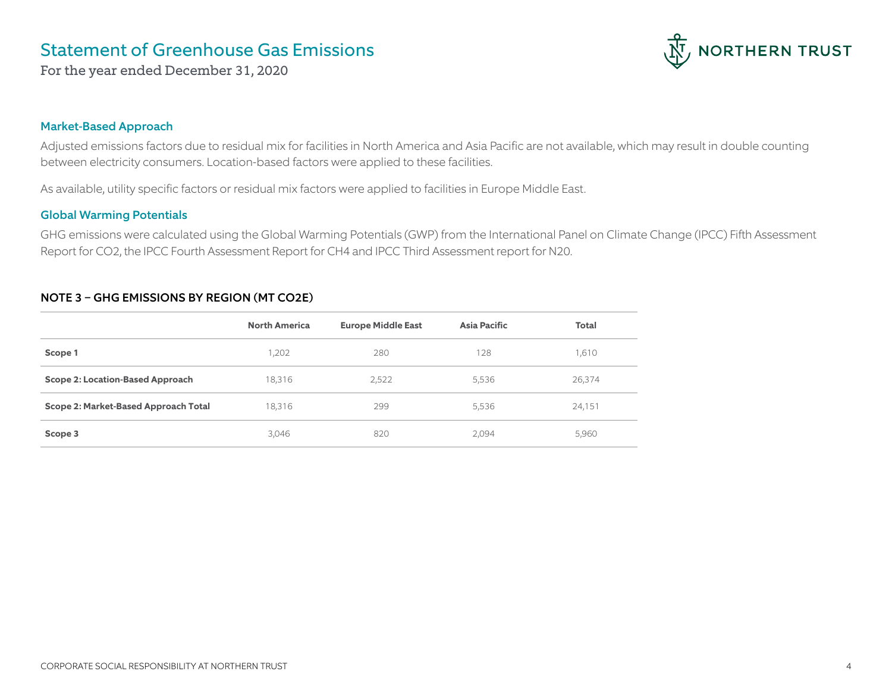

For the year ended December 31, 2020

### Market-Based Approach

Adjusted emissions factors due to residual mix for facilities in North America and Asia Pacific are not available, which may result in double counting between electricity consumers. Location-based factors were applied to these facilities.

As available, utility specific factors or residual mix factors were applied to facilities in Europe Middle East.

### Global Warming Potentials

GHG emissions were calculated using the Global Warming Potentials (GWP) from the International Panel on Climate Change (IPCC) Fifth Assessment Report for CO2, the IPCC Fourth Assessment Report for CH4 and IPCC Third Assessment report for N20.

### NOTE 3 – GHG EMISSIONS BY REGION (MT CO2E)

|                                      | <b>North America</b> | <b>Europe Middle East</b> | <b>Asia Pacific</b> | Total  |
|--------------------------------------|----------------------|---------------------------|---------------------|--------|
| Scope 1                              | 1,202                | 280                       | 128                 | 1,610  |
| Scope 2: Location-Based Approach     | 18,316               | 2,522                     | 5,536               | 26,374 |
| Scope 2: Market-Based Approach Total | 18,316               | 299                       | 5,536               | 24,151 |
| Scope 3                              | 3,046                | 820                       | 2,094               | 5,960  |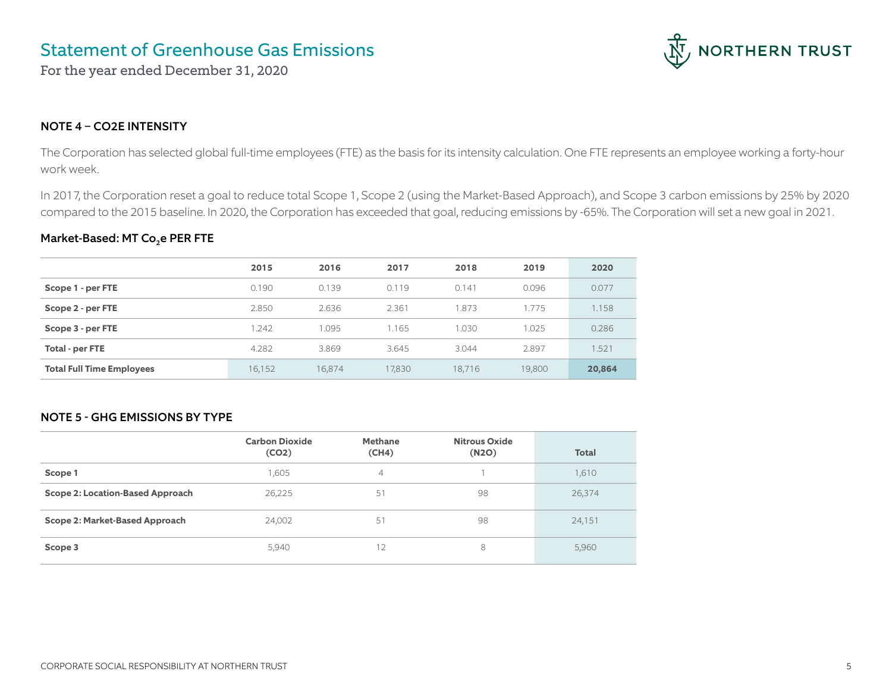For the year ended December 31, 2020



### NOTE 4 – CO2E INTENSITY

The Corporation has selected global full-time employees (FTE) as the basis for its intensity calculation. One FTE represents an employee working a forty-hour work week.

In 2017, the Corporation reset a goal to reduce total Scope 1, Scope 2 (using the Market-Based Approach), and Scope 3 carbon emissions by 25% by 2020 compared to the 2015 baseline. In 2020, the Corporation has exceeded that goal, reducing emissions by -65%. The Corporation will set a new goal in 2021.

### Market-Based: MT Co<sub>2</sub>e PER FTE

|                                  | 2015   | 2016   | 2017   | 2018   | 2019   | 2020   |
|----------------------------------|--------|--------|--------|--------|--------|--------|
| Scope 1 - per FTE                | 0.190  | 0.139  | 0.119  | 0.141  | 0.096  | 0.077  |
| Scope 2 - per FTE                | 2.850  | 2.636  | 2.361  | 1.873  | 1.775  | 1.158  |
| Scope 3 - per FTE                | 1.242  | 1.095  | 1.165  | 1.030  | 1.025  | 0.286  |
| Total - per FTE                  | 4.282  | 3.869  | 3.645  | 3.044  | 2.897  | 1.521  |
| <b>Total Full Time Employees</b> | 16,152 | 16,874 | 17,830 | 18.716 | 19,800 | 20,864 |

### NOTE 5 - GHG EMISSIONS BY TYPE

|                                  | <b>Carbon Dioxide</b><br>(CO2) | <b>Methane</b><br>(CH4) | <b>Nitrous Oxide</b><br>(N2O) | <b>Total</b> |
|----------------------------------|--------------------------------|-------------------------|-------------------------------|--------------|
| Scope 1                          | ,605                           | 4                       |                               | 1,610        |
| Scope 2: Location-Based Approach | 26,225                         | 51                      | 98                            | 26,374       |
| Scope 2: Market-Based Approach   | 24,002                         | 51                      | 98                            | 24,151       |
| Scope 3                          | 5,940                          | 12                      | 8                             | 5,960        |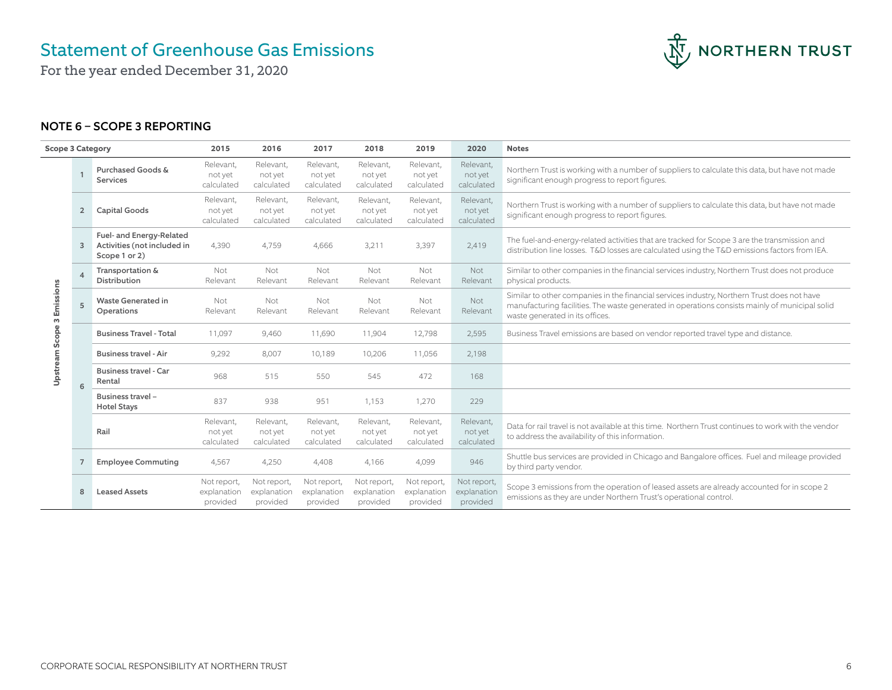NORTHERN TRUST

For the year ended December 31, 2020

## NOTE 6 – SCOPE 3 REPORTING

| <b>Scope 3 Category</b> |                |                                                                          | 2015                                   | 2016                                   | 2017                                   | 2018                                   | 2019                                   | 2020                                   | <b>Notes</b>                                                                                                                                                                                                                     |
|-------------------------|----------------|--------------------------------------------------------------------------|----------------------------------------|----------------------------------------|----------------------------------------|----------------------------------------|----------------------------------------|----------------------------------------|----------------------------------------------------------------------------------------------------------------------------------------------------------------------------------------------------------------------------------|
| Scope 3 Emissions       |                | Purchased Goods &<br>Services                                            | Relevant,<br>not yet<br>calculated     | Relevant,<br>not yet<br>calculated     | Relevant,<br>not yet<br>calculated     | Relevant,<br>not yet<br>calculated     | Relevant,<br>not yet<br>calculated     | Relevant,<br>not yet<br>calculated     | Northern Trust is working with a number of suppliers to calculate this data, but have not made<br>significant enough progress to report figures.                                                                                 |
|                         | $\overline{2}$ | <b>Capital Goods</b>                                                     | Relevant,<br>not yet<br>calculated     | Relevant,<br>not yet<br>calculated     | Relevant,<br>not yet<br>calculated     | Relevant,<br>not yet<br>calculated     | Relevant,<br>not yet<br>calculated     | Relevant,<br>not yet<br>calculated     | Northern Trust is working with a number of suppliers to calculate this data, but have not made<br>significant enough progress to report figures.                                                                                 |
|                         | 3              | Fuel- and Energy-Related<br>Activities (not included in<br>Scope 1 or 2) | 4,390                                  | 4,759                                  | 4,666                                  | 3,211                                  | 3,397                                  | 2,419                                  | The fuel-and-energy-related activities that are tracked for Scope 3 are the transmission and<br>distribution line losses. T&D losses are calculated using the T&D emissions factors from IEA.                                    |
|                         | Δ              | Transportation &<br><b>Distribution</b>                                  | Not<br>Relevant                        | Not<br>Relevant                        | Not<br>Relevant                        | Not<br>Relevant                        | Not<br>Relevant                        | Not<br>Relevant                        | Similar to other companies in the financial services industry, Northern Trust does not produce<br>physical products.                                                                                                             |
|                         | 5              | Waste Generated in<br>Operations                                         | Not<br>Relevant                        | Not<br>Relevant                        | Not<br>Relevant                        | Not<br>Relevant                        | Not<br>Relevant                        | Not<br>Relevant                        | Similar to other companies in the financial services industry, Northern Trust does not have<br>manufacturing facilities. The waste generated in operations consists mainly of municipal solid<br>waste generated in its offices. |
|                         |                | <b>Business Travel - Total</b>                                           | 11,097                                 | 9,460                                  | 11,690                                 | 11,904                                 | 12,798                                 | 2,595                                  | Business Travel emissions are based on vendor reported travel type and distance.                                                                                                                                                 |
|                         |                | <b>Business travel - Air</b>                                             | 9,292                                  | 8,007                                  | 10,189                                 | 10,206                                 | 11,056                                 | 2,198                                  |                                                                                                                                                                                                                                  |
| Upstream                | 6              | <b>Business travel - Car</b><br>Rental                                   | 968                                    | 515                                    | 550                                    | 545                                    | 472                                    | 168                                    |                                                                                                                                                                                                                                  |
|                         |                | Business travel -<br><b>Hotel Stays</b>                                  | 837                                    | 938                                    | 951                                    | 1,153                                  | 1.270                                  | 229                                    |                                                                                                                                                                                                                                  |
|                         |                | Rail                                                                     | Relevant,<br>not yet<br>calculated     | Relevant,<br>not yet<br>calculated     | Relevant,<br>not yet<br>calculated     | Relevant,<br>not yet<br>calculated     | Relevant,<br>not yet<br>calculated     | Relevant,<br>not yet<br>calculated     | Data for rail travel is not available at this time. Northern Trust continues to work with the vendor<br>to address the availability of this information.                                                                         |
|                         |                | <b>Employee Commuting</b>                                                | 4,567                                  | 4,250                                  | 4,408                                  | 4,166                                  | 4.099                                  | 946                                    | Shuttle bus services are provided in Chicago and Bangalore offices. Fuel and mileage provided<br>by third party vendor.                                                                                                          |
|                         | 8              | <b>Leased Assets</b>                                                     | Not report,<br>explanation<br>provided | Not report,<br>explanation<br>provided | Not report,<br>explanation<br>provided | Not report,<br>explanation<br>provided | Not report,<br>explanation<br>provided | Not report,<br>explanation<br>provided | Scope 3 emissions from the operation of leased assets are already accounted for in scope 2<br>emissions as they are under Northern Trust's operational control.                                                                  |